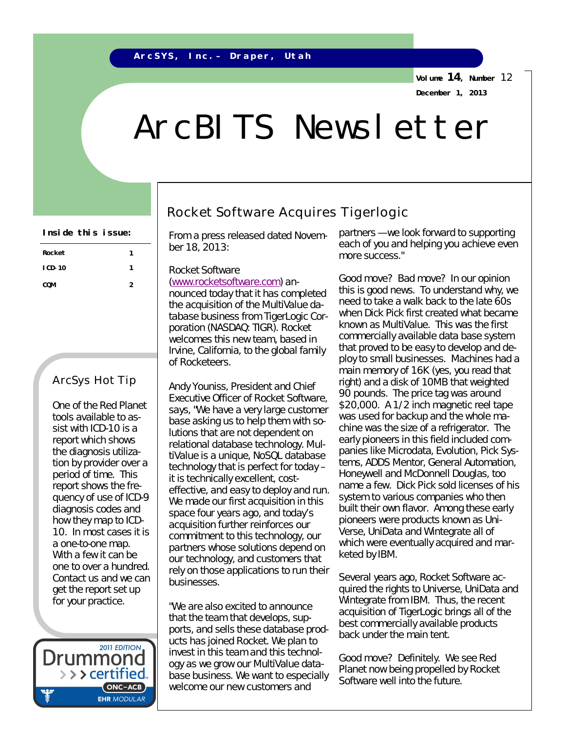**Volume 14, Number** 12 **December 1, 2013**

# ArcBITS Newsletter

| Rocket     | 1 |  |
|------------|---|--|
| $ICD-10$   | 1 |  |
| <b>COM</b> | 2 |  |

### ArcSys Hot Tip

One of the Red Planet tools available to assist with ICD-10 is a report which shows the diagnosis utilization by provider over a period of time. This report shows the frequency of use of ICD-9 diagnosis codes and how they map to ICD-10. In most cases it is a one-to-one map. With a few it can be one to over a hundred. Contact us and we can get the report set up for your practice.

2011 EDITION Drummonc > > > certified.  $(ONC-ACB)$ **EHR MODULAR** 

## Rocket Software Acquires Tigerlogic

From a press released dated November 18, 2013:

#### *Rocket Software*

*[\(www.rocketsoftware.com\)](http://www.rocketsoftware.com)) announced today that it has completed the acquisition of the MultiValue database business from TigerLogic Corporation (NASDAQ: TIGR). Rocket welcomes this new team, based in Irvine, California, to the global family of Rocketeers.*

*Andy Youniss, President and Chief Executive Officer of Rocket Software, says, "We have a very large customer base asking us to help them with solutions that are not dependent on relational database technology. MultiValue is a unique, NoSQL database technology that is perfect for today – it is technically excellent, costeffective, and easy to deploy and run. We made our first acquisition in this space four years ago, and today's acquisition further reinforces our commitment to this technology, our partners whose solutions depend on our technology, and customers that rely on those applications to run their businesses.*

*"We are also excited to announce that the team that develops, supports, and sells these database products has joined Rocket. We plan to invest in this team and this technology as we grow our MultiValue database business. We want to especially welcome our new customers and* 

Inside this issue: *partners is a repart of the stated Novem.* partners – we look forward to supporting *each of you and helping you achieve even more success."*

> Good move? Bad move? In our opinion this is good news. To understand why, we need to take a walk back to the late 60s when Dick Pick first created what became known as MultiValue. This was the first commercially available data base system that proved to be easy to develop and deploy to small businesses. Machines had a main memory of 16K (yes, you read that right) and a disk of 10MB that weighted 90 pounds. The price tag was around \$20,000. A 1/2 inch magnetic reel tape was used for backup and the whole machine was the size of a refrigerator. The early pioneers in this field included companies like Microdata, Evolution, Pick Systems, ADDS Mentor, General Automation, Honeywell and McDonnell Douglas, too name a few. Dick Pick sold licenses of his system to various companies who then built their own flavor. Among these early pioneers were products known as Uni-Verse, UniData and Wintegrate all of which were eventually acquired and marketed by IBM.

> Several years ago, Rocket Software acquired the rights to Universe, UniData and Wintegrate from IBM. Thus, the recent acquisition of TigerLogic brings all of the best commercially available products back under the main tent.

Good move? Definitely. We see Red Planet now being propelled by Rocket Software well into the future.